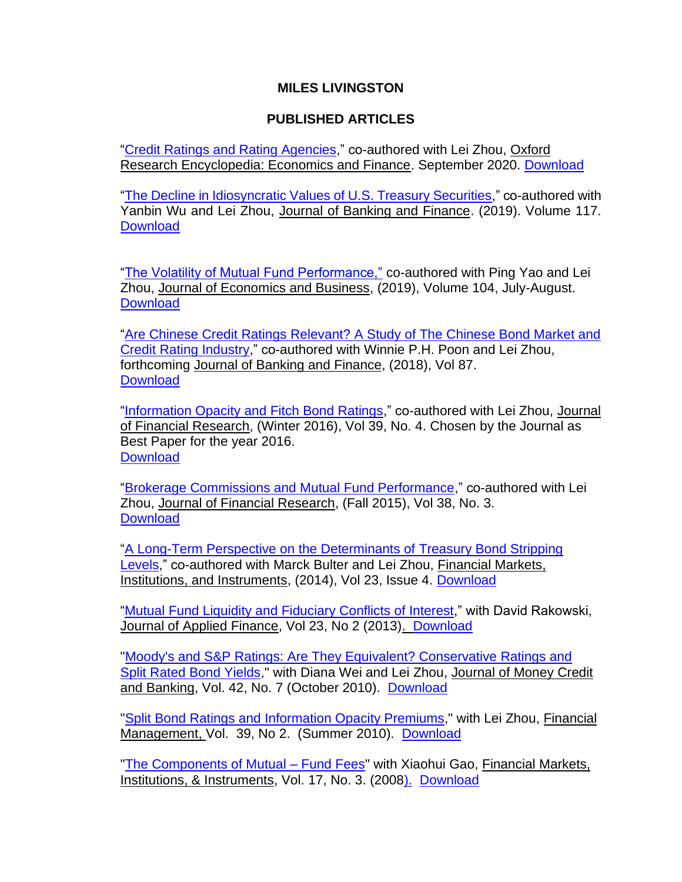## **MILES LIVINGSTON**

## **PUBLISHED ARTICLES**

["Credit Ratings and Rating Agencies,](https://site.warrington.ufl.edu/miles-livingston/files/2021/03/CREDIT-RATINGS-OXFORD-ENCYCLOPEDIA.pdf)" co-authored with Lei Zhou, Oxford Research Encyclopedia: Economics and Finance. September 2020. [Download](https://site.warrington.ufl.edu/miles-livingston/files/2021/03/CREDIT-RATINGS-OXFORD-ENCYCLOPEDIA.pdf)

["The Decline in Idiosyncratic Values of U.S. Treasury Securities,](https://doi.org/10.1016/j.jbankfin.2019.08.001)" co-authored with Yanbin Wu and Lei Zhou, Journal of Banking and Finance. (2019). Volume 117. **[Download](https://doi.org/10.1016/j.jbankfin.2019.08.001)** 

["The Volatility of Mutual Fund Performance,"](https://doi.org/10.1016/j.jeconbus.2019.02.001) co-authored with Ping Yao and Lei Zhou, Journal of Economics and Business, (2019), Volume 104, July-August. **[Download](https://doi.org/10.1016/j.jeconbus.2019.02.001)** 

["Are Chinese Credit Ratings Relevant? A Study of The Chinese Bond Market and](https://doi.org/10.1016/j.jbankfin.2017.09.020)  [Credit Rating Industry,](https://doi.org/10.1016/j.jbankfin.2017.09.020)" co-authored with Winnie P.H. Poon and Lei Zhou, forthcoming Journal of Banking and Finance, (2018), Vol 87. **[Download](https://doi.org/10.1016/j.jbankfin.2017.09.020)** 

["Information Opacity and Fitch Bond Ratings,](http://onlinelibrary.wiley.com/doi/10.1111/jfir.12110/epdf)" co-authored with Lei Zhou, Journal of Financial Research, (Winter 2016), Vol 39, No. 4. Chosen by the Journal as Best Paper for the year 2016. **[Download](http://onlinelibrary.wiley.com/doi/10.1111/jfir.12110/epdf)** 

["Brokerage Commissions and Mutual Fund Performance,](https://onlinelibrary.wiley.com/doi/pdf/10.1111/jfir.12060)" co-authored with Lei Zhou, Journal of Financial Research, (Fall 2015), Vol 38, No. 3. **[Download](http://onlinelibrary.wiley.com/doi/10.1111/jfir.12060/pdf)** 

["A Long-Term Perspective on the Determinants of Treasury Bond Stripping](https://doi.org/10.1111/fmii.12018)  [Levels,](https://doi.org/10.1111/fmii.12018)" co-authored with Marck Bulter and Lei Zhou, Financial Markets, Institutions, and Instruments, (2014), Vol 23, Issue 4. [Download](https://doi.org/10.1111/fmii.12018)

["Mutual Fund Liquidity and Fiduciary Conflicts of Interest,](https://site.warrington.ufl.edu/miles-livingston/files/2019/07/Mutual-Fund-Liquidity-and-Fiduciary-Conflicts-of-Interest.pdf)" with David Rakowski, Journal of Applied Finance, Vol 23, No 2 (2013). [Download](https://site.warrington.ufl.edu/miles-livingston/files/2019/07/Mutual-Fund-Liquidity-and-Fiduciary-Conflicts-of-Interest.pdf)

["Moody's and S&P Ratings: Are They Equivalent? Conservative Ratings and](https://onlinelibrary.wiley.com/doi/epdf/10.1111/j.1538-4616.2010.00341.x)  [Split Rated Bond Yields,](https://onlinelibrary.wiley.com/doi/epdf/10.1111/j.1538-4616.2010.00341.x)" with Diana Wei and Lei Zhou, Journal of Money Credit and Banking, Vol. 42, No. 7 (October 2010). [Download](https://onlinelibrary.wiley.com/doi/epdf/10.1111/j.1538-4616.2010.00341.x)

"Split Bond Ratings and [Information Opacity Premiums,](https://site.warrington.ufl.edu/miles-livingston/files/2019/06/Split-Bond-Ratings-and-Information-Opacity-Premiums.pdf)" with Lei Zhou, Financial Management, Vol. 39, No 2. (Summer 2010). [Download](https://site.warrington.ufl.edu/miles-livingston/files/2019/06/Split-Bond-Ratings-and-Information-Opacity-Premiums.pdf)

["The Components of Mutual](https://site.warrington.ufl.edu/miles-livingston/files/2019/06/The-Components-of-Mutual-Fund-Fees.pdf.pdf) – Fund Fees" with Xiaohui Gao, Financial Markets, Institutions, & Instruments, Vol. 17, No. 3. (200[8\).](https://site.warrington.ufl.edu/miles-livingston/files/2019/06/Split-Bond-Ratings-and-Information-Opacity-Premiums.pdf) [Download](https://site.warrington.ufl.edu/miles-livingston/files/2019/06/The-Components-of-Mutual-Fund-Fees.pdf.pdf)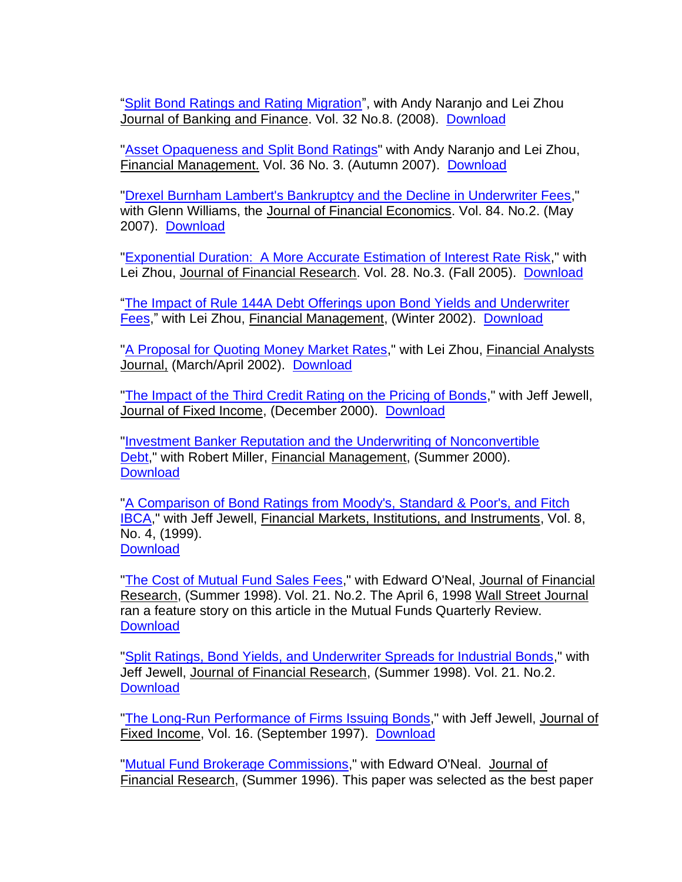["Split Bond Ratings and Rating Migration"](https://site.warrington.ufl.edu/miles-livingston/files/2019/05/Split-Bond-Ratings-and-Rating-Migration.pdf), with Andy Naranjo and Lei Zhou Journal of Banking and Finance. Vol. 32 No.8. (2008). [Download](https://site.warrington.ufl.edu/miles-livingston/files/2019/05/Split-Bond-Ratings-and-Rating-Migration.pdf)

["Asset Opaqueness and](https://site.warrington.ufl.edu/miles-livingston/files/2019/06/Asset-Opaqueness-and-Split-Bond-Ratings.pdf.pdf) Split Bond Ratings" with Andy Naranjo and Lei Zhou, Financial Management. Vol. 36 No. 3. (Autumn 2007). [Download](https://site.warrington.ufl.edu/miles-livingston/files/2019/06/Asset-Opaqueness-and-Split-Bond-Ratings.pdf.pdf)

["Drexel Burnham Lambert's Bankruptcy and the Decline in Underwriter Fees,](https://site.warrington.ufl.edu/miles-livingston/files/2019/06/Drexel-Burnham-Lambert’s-Bankruptcy-and-the-Subsequent-Decline-in-Underwriter-Fees.pdf)" with Glenn Williams, the Journal of Financial Economics. Vol. 84. No.2. (May 2007). [Download](https://site.warrington.ufl.edu/miles-livingston/files/2019/06/Drexel-Burnham-Lambert’s-Bankruptcy-and-the-Subsequent-Decline-in-Underwriter-Fees.pdf)

["Exponential Duration: A More Accurate Estimation of Interest Rate Risk,](https://site.warrington.ufl.edu/miles-livingston/files/2019/06/Exponential-Duration-a-More-Accurate-Estimation-of-Interest-Rate-Risk.pdf)" with Lei Zhou, Journal of Financial Research. Vol. 28. No.3. (Fall 2005). [Download](https://site.warrington.ufl.edu/miles-livingston/files/2019/06/Exponential-Duration-a-More-Accurate-Estimation-of-Interest-Rate-Risk.pdf)

["The Impact of Rule 144A Debt Offerings upon Bond Yields and Underwriter](https://site.warrington.ufl.edu/miles-livingston/files/2019/07/Impact-of-Rule-144A-Debt-Offering-Upon-Yields-and-Underwriter-Fees.pdf)  [Fees,](https://site.warrington.ufl.edu/miles-livingston/files/2019/07/Impact-of-Rule-144A-Debt-Offering-Upon-Yields-and-Underwriter-Fees.pdf)" with Lei Zhou, Financial Management, (Winter 2002). [Download](https://site.warrington.ufl.edu/miles-livingston/files/2019/07/Impact-of-Rule-144A-Debt-Offering-Upon-Yields-and-Underwriter-Fees.pdf)

["A Proposal for Quoting Money Market Rates,](https://site.warrington.ufl.edu/miles-livingston/files/2019/07/A-Proposal-for-Quoting-Money-Market-Rates.pdf)" with Lei Zhou, Financial Analysts Journal, (March/April 2002). [Download](https://site.warrington.ufl.edu/miles-livingston/files/2019/07/A-Proposal-for-Quoting-Money-Market-Rates.pdf)

["The Impact of the Third Credit Rating on the Pricing of Bonds,](https://site.warrington.ufl.edu/miles-livingston/files/2019/07/The-Impact-of-the-Third-Credit-Rating-on-the-Pricing-of-Bonds.pdf)" with Jeff Jewell, Journal of Fixed Income, (December 2000). [Download](https://site.warrington.ufl.edu/miles-livingston/files/2019/07/The-Impact-of-the-Third-Credit-Rating-on-the-Pricing-of-Bonds.pdf)

["Investment Banker Reputation and the Underwriting of Nonconvertible](https://site.warrington.ufl.edu/miles-livingston/files/2019/07/Investment-Banker-Reputation-and-the-Underwriting-of-Nonconvertible-Debt.pdf)  [Debt,](https://site.warrington.ufl.edu/miles-livingston/files/2019/07/Investment-Banker-Reputation-and-the-Underwriting-of-Nonconvertible-Debt.pdf)" with Robert Miller, Financial Management, (Summer 2000). **[Download](https://site.warrington.ufl.edu/miles-livingston/files/2019/07/Investment-Banker-Reputation-and-the-Underwriting-of-Nonconvertible-Debt.pdf)** 

["A Comparison of Bond Ratings from Moody's, Standard & Poor's, and Fitch](https://doi.org/10.1111/1468-0416.00029)  [IBCA,](https://doi.org/10.1111/1468-0416.00029)" with Jeff Jewell, Financial Markets, Institutions, and Instruments, Vol. 8, No. 4, (1999). **[Download](https://doi.org/10.1111/1468-0416.00029)** 

["The Cost of Mutual Fund Sales Fees,](https://site.warrington.ufl.edu/miles-livingston/files/2019/07/The-cost-of-Mutual-Funde-Sales-Fees.pdf)" with Edward O'Neal, Journal of Financial Research, (Summer 1998). Vol. 21. No.2. The April 6, 1998 Wall Street Journal ran a feature story on this article in the Mutual Funds Quarterly Review. **[Download](https://site.warrington.ufl.edu/miles-livingston/files/2019/07/The-cost-of-Mutual-Funde-Sales-Fees.pdf)** 

["Split Ratings, Bond Yields, and Underwriter Spreads for Industrial Bonds,](https://site.warrington.ufl.edu/miles-livingston/files/2019/07/Split-Ratings-Bond-Yield-and-Underwriter-Spreads-for-Industrial-Bonds.pdf)" with Jeff Jewell, Journal of Financial Research, (Summer 1998). Vol. 21. No.2. **[Download](https://site.warrington.ufl.edu/miles-livingston/files/2019/07/Split-Ratings-Bond-Yield-and-Underwriter-Spreads-for-Industrial-Bonds.pdf)** 

["The Long-Run Performance of Firms Issuing Bonds,](https://site.warrington.ufl.edu/miles-livingston/files/2019/07/The-long-run-Performance-of-Firms-Issuing-Bonds.pdf)" with Jeff Jewell, Journal of Fixed Income, Vol. 16. (September 1997). [Download](https://site.warrington.ufl.edu/miles-livingston/files/2019/07/The-long-run-Performance-of-Firms-Issuing-Bonds.pdf)

["Mutual Fund Brokerage Commissions,](https://site.warrington.ufl.edu/miles-livingston/files/2019/07/Mutual-Fund-Brokerage-Commissions.pdf)" with Edward O'Neal. Journal of Financial Research, (Summer 1996). This paper was selected as the best paper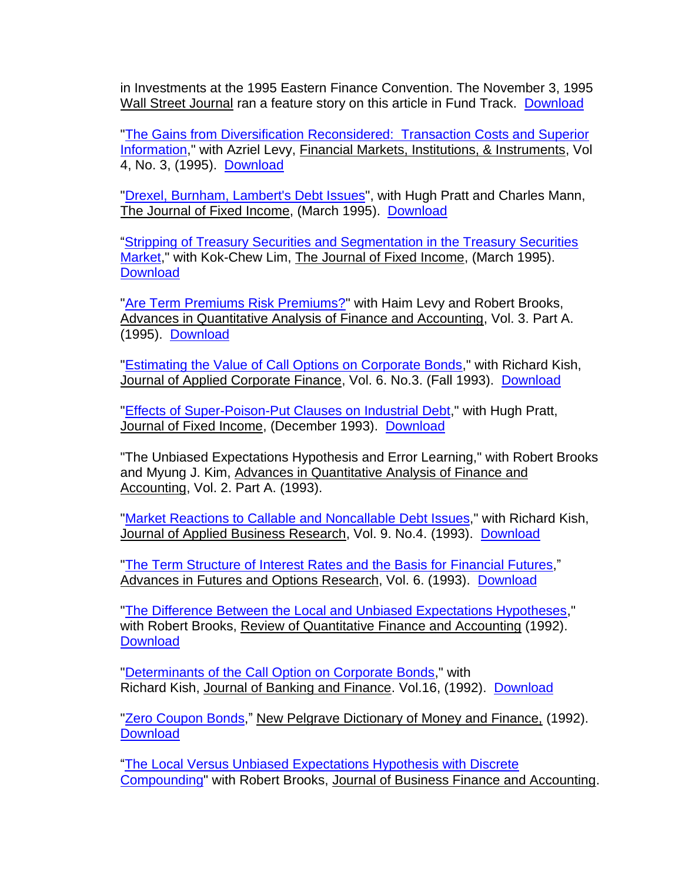in Investments at the 1995 Eastern Finance Convention. The November 3, 1995 Wall Street Journal ran a feature story on this article in Fund Track. [Download](https://site.warrington.ufl.edu/miles-livingston/files/2019/07/Mutual-Fund-Brokerage-Commissions.pdf)

["The Gains from Diversification Reconsidered: Transaction Costs and Superior](https://site.warrington.ufl.edu/miles-livingston/files/2019/08/The-Gains-from-Diversification-Reconsidered.pdf)  [Information,](https://site.warrington.ufl.edu/miles-livingston/files/2019/08/The-Gains-from-Diversification-Reconsidered.pdf)" with Azriel Levy, Financial Markets, Institutions, & Instruments, Vol 4, No. 3, (1995). [Download](https://site.warrington.ufl.edu/miles-livingston/files/2019/08/The-Gains-from-Diversification-Reconsidered.pdf)

["Drexel, Burnham, Lambert's Debt Issues"](https://site.warrington.ufl.edu/miles-livingston/files/2019/08/Drexel-Burnham-Lamberts-Debt-Issues.pdf), with Hugh Pratt and Charles Mann, The Journal of Fixed Income, (March 1995). [Download](https://site.warrington.ufl.edu/miles-livingston/files/2019/08/Drexel-Burnham-Lamberts-Debt-Issues.pdf)

["Stripping of Treasury Securities and Segmentation in the Treasury Securities](https://site.warrington.ufl.edu/miles-livingston/files/2019/07/Stripping-of-Treasury-Securities-and-Segmentation-in-the-Treasury-Securities-Market.pdf)  [Market,](https://site.warrington.ufl.edu/miles-livingston/files/2019/07/Stripping-of-Treasury-Securities-and-Segmentation-in-the-Treasury-Securities-Market.pdf)" with Kok-Chew Lim, The Journal of Fixed Income, (March 1995). **[Download](https://site.warrington.ufl.edu/miles-livingston/files/2019/07/Stripping-of-Treasury-Securities-and-Segmentation-in-the-Treasury-Securities-Market.pdf)** 

["Are Term Premiums Risk Premiums?"](https://site.warrington.ufl.edu/miles-livingston/files/2019/08/Are-Term-Premiums-Risk-Premiums.pdf) with Haim Levy and Robert Brooks, Advances in Quantitative Analysis of Finance and Accounting, Vol. 3. Part A. (1995). [Download](https://site.warrington.ufl.edu/miles-livingston/files/2019/08/Are-Term-Premiums-Risk-Premiums.pdf)

["Estimating the Value of Call Options on Corporate Bonds,](https://site.warrington.ufl.edu/miles-livingston/files/2019/07/The-Pricing-of-Municipal-Bonds.pdf)" with Richard Kish, Journal of Applied Corporate Finance, Vol. 6. No.3. (Fall 1993). [Download](https://site.warrington.ufl.edu/miles-livingston/files/2019/07/The-Pricing-of-Municipal-Bonds.pdf)

["Effects of Super-Poison-Put Clauses on Industrial Debt,](https://site.warrington.ufl.edu/miles-livingston/files/2019/08/Effects-of-Super-Poison-Put-Clauses-on-Industrial-Debt.pdf)" with Hugh Pratt, Journal of Fixed Income, (December 1993). [Download](https://site.warrington.ufl.edu/miles-livingston/files/2019/08/Effects-of-Super-Poison-Put-Clauses-on-Industrial-Debt.pdf)

"The Unbiased Expectations Hypothesis and Error Learning," with Robert Brooks and Myung J. Kim, Advances in Quantitative Analysis of Finance and Accounting, Vol. 2. Part A. (1993).

["Market Reactions to Callable and Noncallable Debt Issues,](https://site.warrington.ufl.edu/miles-livingston/files/2019/07/Market-Reactions-to-Callable-and-Noncallable-Debt-Issues.pdf)" with Richard Kish, Journal of Applied Business Research, Vol. 9. No.4. (1993). [Download](https://site.warrington.ufl.edu/miles-livingston/files/2019/07/Market-Reactions-to-Callable-and-Noncallable-Debt-Issues.pdf)

["The Term Structure of Interest Rates and the Basis for](https://site.warrington.ufl.edu/miles-livingston/files/2019/08/The-Term-Structure-of-Interest-Rates-and-the-Basis-for-Financial-Futures.pdf) Financial Futures," Advances in Futures and Options Research, Vol. 6. (1993). [Download](https://site.warrington.ufl.edu/miles-livingston/files/2019/08/The-Term-Structure-of-Interest-Rates-and-the-Basis-for-Financial-Futures.pdf)

["The Difference Between the Local and Unbiased Expectations Hypotheses,](https://site.warrington.ufl.edu/miles-livingston/files/2019/07/The-Difference-between-the-Local-and-Unbiased-Expectations-Hypotheses.pdf)" with Robert Brooks, Review of Quantitative Finance and Accounting (1992). **[Download](https://site.warrington.ufl.edu/miles-livingston/files/2019/07/The-Difference-between-the-Local-and-Unbiased-Expectations-Hypotheses.pdf)** 

["Determinants of the Call Option on Corporate Bonds,](https://site.warrington.ufl.edu/miles-livingston/files/2019/07/Determinants-of-the-the-Call-Option-on-Corporate-Bonds.pdf)" with Richard Kish, Journal of Banking and Finance. Vol.16, (1992). [Download](https://site.warrington.ufl.edu/miles-livingston/files/2019/07/Determinants-of-the-the-Call-Option-on-Corporate-Bonds.pdf)

["Zero Coupon Bonds,](https://site.warrington.ufl.edu/miles-livingston/files/2019/07/Zero-Coupon-Bonds.pdf)" New Pelgrave Dictionary of Money and Finance, (1992). **[Download](https://site.warrington.ufl.edu/miles-livingston/files/2019/07/Zero-Coupon-Bonds.pdf)** 

["The Local Versus Unbiased Expectations Hypothesis with Discrete](https://site.warrington.ufl.edu/miles-livingston/files/2019/07/The-Local-versus-Unbiased-Expectations-Hypothesis-with-Discrete-Compounding.pdf)  [Compounding"](https://site.warrington.ufl.edu/miles-livingston/files/2019/07/The-Local-versus-Unbiased-Expectations-Hypothesis-with-Discrete-Compounding.pdf) with Robert Brooks, Journal of Business Finance and Accounting.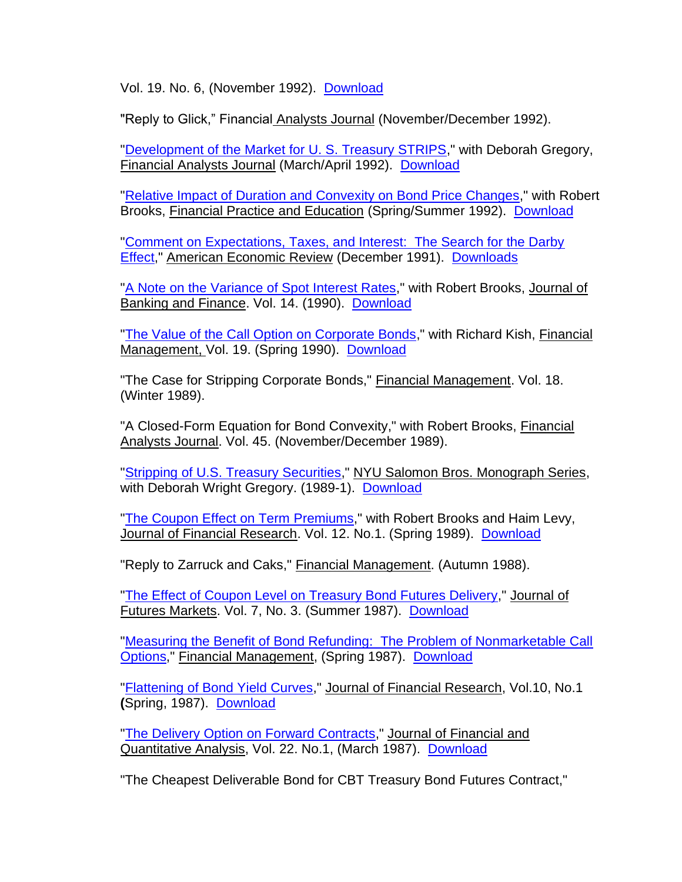Vol. 19. No. 6, (November 1992). [Download](https://site.warrington.ufl.edu/miles-livingston/files/2019/07/The-Local-versus-Unbiased-Expectations-Hypothesis-with-Discrete-Compounding.pdf)

"Reply to Glick," Financial Analysts Journal (November/December 1992).

["Development of the Market for U. S. Treasury STRIPS,](https://site.warrington.ufl.edu/miles-livingston/files/2019/07/Development-of-the-Market-for-US-Treasury-STRIPS.pdf)" with Deborah Gregory, Financial Analysts Journal (March/April 1992). [Download](https://site.warrington.ufl.edu/miles-livingston/files/2019/07/Development-of-the-Market-for-US-Treasury-STRIPS.pdf)

["Relative Impact of Duration and Convexity on Bond Price Changes,](https://site.warrington.ufl.edu/miles-livingston/files/2019/07/Relative-Impact-of-Duration-and-Convexity-on-Bond-Price-Changes.pdf)" with Robert Brooks, Financial Practice and Education (Spring/Summer 1992). [Download](https://site.warrington.ufl.edu/miles-livingston/files/2019/07/Relative-Impact-of-Duration-and-Convexity-on-Bond-Price-Changes.pdf)

["Comment on Expectations, Taxes, and Interest: The Search for the Darby](https://site.warrington.ufl.edu/miles-livingston/files/2019/07/Expectations-Taxes-and-Interest-Comment-1.pdf)  [Effect,](https://site.warrington.ufl.edu/miles-livingston/files/2019/07/Expectations-Taxes-and-Interest-Comment-1.pdf)" American Economic Review (December 1991). [Downloads](https://site.warrington.ufl.edu/miles-livingston/files/2019/07/Expectations-Taxes-and-Interest-Comment-1.pdf)

["A Note on the Variance of Spot Interest Rates,](https://site.warrington.ufl.edu/miles-livingston/files/2019/07/A-Note-On-The-Variance-of-Spot-Interest-Rates.pdf)" with Robert Brooks, Journal of Banking and Finance. Vol. 14. (1990). [Download](https://site.warrington.ufl.edu/miles-livingston/files/2019/07/A-Note-On-The-Variance-of-Spot-Interest-Rates.pdf)

["The Value of the Call Option on Corporate Bonds,](https://site.warrington.ufl.edu/miles-livingston/files/2019/07/The-Value-of-the-Call-Option-on-Corporate-Bonds.pdf)" with Richard Kish, Financial Management, Vol. 19. (Spring 1990). [Download](https://site.warrington.ufl.edu/miles-livingston/files/2019/07/The-Value-of-the-Call-Option-on-Corporate-Bonds.pdf)

"The Case for Stripping Corporate Bonds," Financial Management. Vol. 18. (Winter 1989).

"A Closed-Form Equation for Bond Convexity," with Robert Brooks, Financial Analysts Journal. Vol. 45. (November/December 1989).

["Stripping of U.S. Treasury Securities,](https://site.warrington.ufl.edu/miles-livingston/files/2019/07/STRIPPING-OF-U.S.-TREASURY-SECURITIES.pdf)" NYU Salomon Bros. Monograph Series, with Deborah Wright Gregory. (1989-1). [Download](https://site.warrington.ufl.edu/miles-livingston/files/2019/07/STRIPPING-OF-U.S.-TREASURY-SECURITIES.pdf)

["The Coupon Effect on Term Premiums,](https://site.warrington.ufl.edu/miles-livingston/files/2019/07/The-Coupon-Effect-on-Term-Premiums.pdf)" with Robert Brooks and Haim Levy, Journal of Financial Research. Vol. 12. No.1. (Spring 1989). [Download](https://site.warrington.ufl.edu/miles-livingston/files/2019/07/The-Coupon-Effect-on-Term-Premiums.pdf)

"Reply to Zarruck and Caks," Financial Management. (Autumn 1988).

["The Effect of Coupon Level on Treasury Bond Futures Delivery,](https://site.warrington.ufl.edu/miles-livingston/files/2019/07/The-Effect-of-Coupon-Level-on-Treasury-Bond-Futures-Delivery.pdf)" Journal of Futures Markets. Vol. 7, No. 3. (Summer 1987). [Download](https://site.warrington.ufl.edu/miles-livingston/files/2019/07/The-Effect-of-Coupon-Level-on-Treasury-Bond-Futures-Delivery.pdf)

["Measuring the Benefit of Bond Refunding: The Problem of Nonmarketable Call](https://site.warrington.ufl.edu/miles-livingston/files/2019/07/Measuring-the-Benefit-of-Bond-Refunding.pdf)  [Options,](https://site.warrington.ufl.edu/miles-livingston/files/2019/07/Measuring-the-Benefit-of-Bond-Refunding.pdf)" Financial Management, (Spring 1987). [Download](https://site.warrington.ufl.edu/miles-livingston/files/2019/07/Measuring-the-Benefit-of-Bond-Refunding.pdf)

["Flattening of Bond Yield Curves,](https://site.warrington.ufl.edu/miles-livingston/files/2019/07/Flattening-of-Bond-Yield-Curves.pdf)" Journal of Financial Research, Vol.10, No.1 **(**Spring, 1987). [Download](https://site.warrington.ufl.edu/miles-livingston/files/2019/07/Flattening-of-Bond-Yield-Curves.pdf)

["The Delivery Option on Forward Contracts,](https://site.warrington.ufl.edu/miles-livingston/files/2019/07/The-Delivery-Option-on-Forward-Contracts.pdf)" Journal of Financial and Quantitative Analysis, Vol. 22. No.1, (March 1987). [Download](https://site.warrington.ufl.edu/miles-livingston/files/2019/07/The-Delivery-Option-on-Forward-Contracts.pdf)

"The Cheapest Deliverable Bond for CBT Treasury Bond Futures Contract,"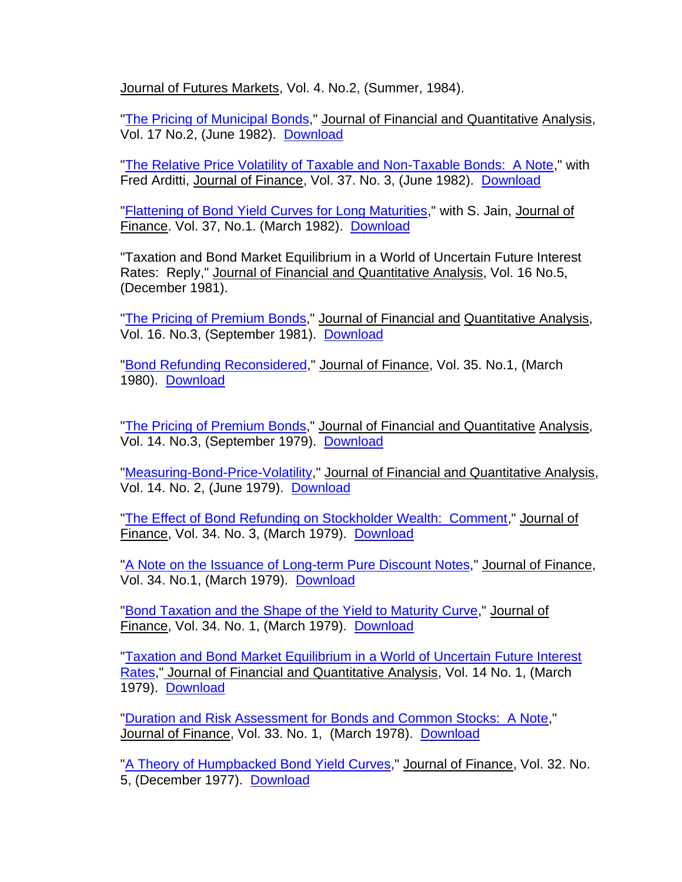Journal of Futures Markets, Vol. 4. No.2, (Summer, 1984).

["The Pricing of Municipal Bonds,](https://site.warrington.ufl.edu/miles-livingston/files/2019/07/The-Pricing-of-Municipal-Bonds.pdf)" Journal of Financial and Quantitative Analysis, Vol. 17 No.2, (June 1982). [Download](https://site.warrington.ufl.edu/miles-livingston/files/2019/07/The-Pricing-of-Municipal-Bonds.pdf)

["The Relative Price Volatility of Taxable and Non-Taxable Bonds: A Note,](https://site.warrington.ufl.edu/miles-livingston/files/2019/07/The-Relative-Price-Volatility-of-Taxable-and-Non-Taxable-Bonds.pdf)" with Fred Arditti, Journal of Finance, Vol. 37. No. 3, (June 1982). [Download](https://site.warrington.ufl.edu/miles-livingston/files/2019/07/The-Relative-Price-Volatility-of-Taxable-and-Non-Taxable-Bonds.pdf)

["Flattening of Bond Yield Curves for Long Maturities,](https://site.warrington.ufl.edu/miles-livingston/files/2019/07/Flattening-of-Bond-Yield-Curves-for-Long-Maturities.pdf)" with S. Jain, Journal of Finance. Vol. 37, No.1. (March 1982). [Download](https://site.warrington.ufl.edu/miles-livingston/files/2019/07/Flattening-of-Bond-Yield-Curves-for-Long-Maturities.pdf)

"Taxation and Bond Market Equilibrium in a World of Uncertain Future Interest Rates: Reply," Journal of Financial and Quantitative Analysis, Vol. 16 No.5, (December 1981).

["The Pricing of Premium Bonds,](https://site.warrington.ufl.edu/miles-livingston/files/2019/07/The-Pricing-of-Premium-Bonds-Reply.pdf)" Journal of Financial and Quantitative Analysis, Vol. 16. No.3, (September 1981). [Download](https://site.warrington.ufl.edu/miles-livingston/files/2019/07/The-Pricing-of-Premium-Bonds-Reply.pdf)

["Bond Refunding Reconsidered,](https://site.warrington.ufl.edu/miles-livingston/files/2019/07/Bond-Refunding-Reconsidered-Comment.pdf)" Journal of Finance, Vol. 35. No.1, (March 1980). [Download](https://site.warrington.ufl.edu/miles-livingston/files/2019/07/Bond-Refunding-Reconsidered-Comment.pdf)

["The Pricing of Premium Bonds,](https://site.warrington.ufl.edu/miles-livingston/files/2019/07/The-Pricing-of-Premium-Bonds.pdf)" Journal of Financial and Quantitative Analysis, Vol. 14. No.3, (September 1979). [Download](https://site.warrington.ufl.edu/miles-livingston/files/2019/07/The-Pricing-of-Premium-Bonds.pdf)

["Measuring-Bond-Price-Volatility,](https://site.warrington.ufl.edu/miles-livingston/files/2019/07/Measuring-Bond-Price-Volatility.pdf)" Journal of Financial and Quantitative Analysis, Vol. 14. No. 2, (June 1979). [Download](https://site.warrington.ufl.edu/miles-livingston/files/2019/07/Measuring-Bond-Price-Volatility.pdf)

["The Effect of Bond Refunding on Stockholder Wealth: Comment,](https://site.warrington.ufl.edu/miles-livingston/files/2019/07/The-Effect-of-Bond-Refunding-on-Stockholder-Wealth.pdf)" Journal of Finance, Vol. 34. No. 3, (March 1979). [Download](https://site.warrington.ufl.edu/miles-livingston/files/2019/07/The-Effect-of-Bond-Refunding-on-Stockholder-Wealth.pdf)

["A Note on the Issuance of Long-term Pure Discount Notes,](https://site.warrington.ufl.edu/miles-livingston/files/2019/07/A-Note-on-the-Issuance-of-Long-term-Pure-Discount-Notes.pdf)" Journal of Finance, Vol. 34. No.1, (March 1979). [Download](https://site.warrington.ufl.edu/miles-livingston/files/2019/07/A-Note-on-the-Issuance-of-Long-term-Pure-Discount-Notes.pdf)

["Bond Taxation and the Shape of the Yield to Maturity Curve,](https://site.warrington.ufl.edu/miles-livingston/files/2019/07/Bond-Taxation-and-the-Shape-of-the-Yield-to-Maturity-Curve.pdf)" Journal of Finance, Vol. 34. No. 1, (March 1979). [Download](https://site.warrington.ufl.edu/miles-livingston/files/2019/07/Bond-Taxation-and-the-Shape-of-the-Yield-to-Maturity-Curve.pdf)

["Taxation and Bond Market Equilibrium in a World of Uncertain Future Interest](https://site.warrington.ufl.edu/miles-livingston/files/2019/07/Taxation-and-Bond-Market-Equilibrium.pdf)  [Rates,](https://site.warrington.ufl.edu/miles-livingston/files/2019/07/Taxation-and-Bond-Market-Equilibrium.pdf)" Journal of Financial and Quantitative Analysis, Vol. 14 No. 1, (March 1979). [Download](https://site.warrington.ufl.edu/miles-livingston/files/2019/07/Taxation-and-Bond-Market-Equilibrium.pdf)

["Duration and Risk Assessment for Bonds and Common Stocks: A Note,](https://site.warrington.ufl.edu/miles-livingston/files/2019/07/Duration-and-Risk-Assessment-for-Bonds-and-Common-Stocks.pdf)" Journal of Finance, Vol. 33. No. 1, (March 1978). [Download](https://site.warrington.ufl.edu/miles-livingston/files/2019/07/Duration-and-Risk-Assessment-for-Bonds-and-Common-Stocks.pdf)

["A Theory of Humpbacked Bond Yield Curves,](https://site.warrington.ufl.edu/miles-livingston/files/2019/07/A-Theory-of-Humpbacked-Yield-Curves.pdf)" Journal of Finance, Vol. 32. No. 5, (December 1977). [Download](https://site.warrington.ufl.edu/miles-livingston/files/2019/07/A-Theory-of-Humpbacked-Yield-Curves.pdf)